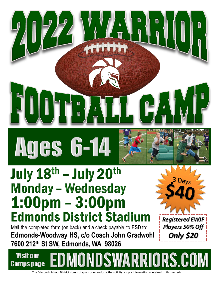

## July 18th - July 20th **Monday - Wednesday**  $1:00 \text{pm} - 3:00 \text{pm}$ **Edmonds District Stadium**

 $\begin{array}{c} \begin{array}{c} \text{d} \\ \text{e} \end{array} \end{array}$ 

 $\frac{1}{4}$ 

Mail the completed form (on back) and a check payable to ESD to: Edmonds-Woodway HS, c/o Coach John Gradwohl 7600 212th St SW, Edmonds, WA 98026



**Registered EWJF Players 50% Off** Only \$20

**Visit our IDSWARRIORS.COM Camps page** 

The Edmonds School District does not sponsor or endorse the activity and/or information contained in this material